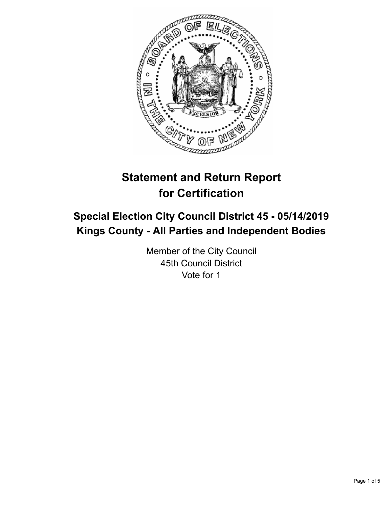

# **Statement and Return Report for Certification**

# **Special Election City Council District 45 - 05/14/2019 Kings County - All Parties and Independent Bodies**

Member of the City Council 45th Council District Vote for 1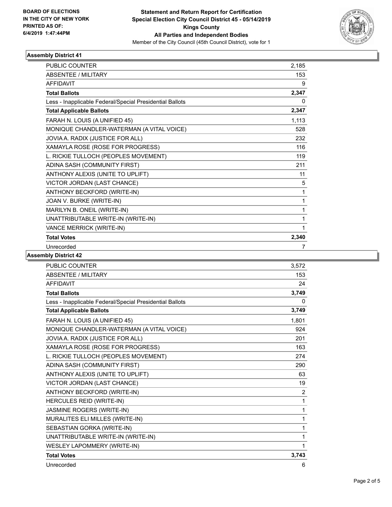

## **Assembly District 41**

| <b>PUBLIC COUNTER</b>                                    | 2,185 |
|----------------------------------------------------------|-------|
| <b>ABSENTEE / MILITARY</b>                               | 153   |
| <b>AFFIDAVIT</b>                                         | 9     |
| <b>Total Ballots</b>                                     | 2,347 |
| Less - Inapplicable Federal/Special Presidential Ballots | 0     |
| <b>Total Applicable Ballots</b>                          | 2,347 |
| FARAH N. LOUIS (A UNIFIED 45)                            | 1,113 |
| MONIQUE CHANDLER-WATERMAN (A VITAL VOICE)                | 528   |
| JOVIA A. RADIX (JUSTICE FOR ALL)                         | 232   |
| XAMAYLA ROSE (ROSE FOR PROGRESS)                         | 116   |
| L. RICKIE TULLOCH (PEOPLES MOVEMENT)                     | 119   |
| ADINA SASH (COMMUNITY FIRST)                             | 211   |
| ANTHONY ALEXIS (UNITE TO UPLIFT)                         | 11    |
| VICTOR JORDAN (LAST CHANCE)                              | 5     |
| ANTHONY BECKFORD (WRITE-IN)                              | 1     |
| JOAN V. BURKE (WRITE-IN)                                 | 1     |
| MARILYN B. ONEIL (WRITE-IN)                              | 1     |
| UNATTRIBUTABLE WRITE-IN (WRITE-IN)                       | 1     |
| VANCE MERRICK (WRITE-IN)                                 | 1     |
| <b>Total Votes</b>                                       | 2,340 |
| Unrecorded                                               | 7     |

#### **Assembly District 42**

| <b>PUBLIC COUNTER</b>                                    | 3,572          |
|----------------------------------------------------------|----------------|
| ABSENTEE / MILITARY                                      | 153            |
| <b>AFFIDAVIT</b>                                         | 24             |
| <b>Total Ballots</b>                                     | 3,749          |
| Less - Inapplicable Federal/Special Presidential Ballots | 0              |
| <b>Total Applicable Ballots</b>                          | 3,749          |
| FARAH N. LOUIS (A UNIFIED 45)                            | 1,801          |
| MONIQUE CHANDLER-WATERMAN (A VITAL VOICE)                | 924            |
| JOVIA A. RADIX (JUSTICE FOR ALL)                         | 201            |
| XAMAYLA ROSE (ROSE FOR PROGRESS)                         | 163            |
| L. RICKIE TULLOCH (PEOPLES MOVEMENT)                     | 274            |
| ADINA SASH (COMMUNITY FIRST)                             | 290            |
| ANTHONY ALEXIS (UNITE TO UPLIFT)                         | 63             |
| VICTOR JORDAN (LAST CHANCE)                              | 19             |
| ANTHONY BECKFORD (WRITE-IN)                              | $\overline{c}$ |
| HERCULES REID (WRITE-IN)                                 | 1              |
| JASMINE ROGERS (WRITE-IN)                                | 1              |
| MURALITES ELI MILLES (WRITE-IN)                          | 1              |
| SEBASTIAN GORKA (WRITE-IN)                               | 1              |
| UNATTRIBUTABLE WRITE-IN (WRITE-IN)                       | 1              |
| WESLEY LAPOMMERY (WRITE-IN)                              | 1              |
| <b>Total Votes</b>                                       | 3,743          |
| Unrecorded                                               | 6              |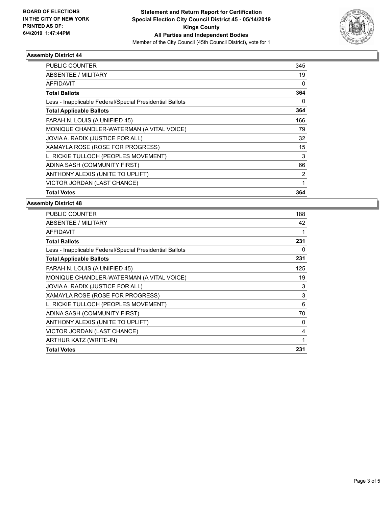

## **Assembly District 44**

| PUBLIC COUNTER                                           | 345            |
|----------------------------------------------------------|----------------|
| <b>ABSENTEE / MILITARY</b>                               | 19             |
| AFFIDAVIT                                                | 0              |
| <b>Total Ballots</b>                                     | 364            |
| Less - Inapplicable Federal/Special Presidential Ballots | 0              |
| <b>Total Applicable Ballots</b>                          | 364            |
| FARAH N. LOUIS (A UNIFIED 45)                            | 166            |
| MONIQUE CHANDLER-WATERMAN (A VITAL VOICE)                | 79             |
| JOVIA A. RADIX (JUSTICE FOR ALL)                         | 32             |
| XAMAYLA ROSE (ROSE FOR PROGRESS)                         | 15             |
| L. RICKIE TULLOCH (PEOPLES MOVEMENT)                     | 3              |
| ADINA SASH (COMMUNITY FIRST)                             | 66             |
| ANTHONY ALEXIS (UNITE TO UPLIFT)                         | $\overline{2}$ |
| VICTOR JORDAN (LAST CHANCE)                              | 1              |
| <b>Total Votes</b>                                       | 364            |

#### **Assembly District 48**

| PUBLIC COUNTER                                           | 188 |
|----------------------------------------------------------|-----|
| <b>ABSENTEE / MILITARY</b>                               | 42  |
| AFFIDAVIT                                                |     |
| <b>Total Ballots</b>                                     | 231 |
| Less - Inapplicable Federal/Special Presidential Ballots | 0   |
| <b>Total Applicable Ballots</b>                          | 231 |
| FARAH N. LOUIS (A UNIFIED 45)                            | 125 |
| MONIQUE CHANDLER-WATERMAN (A VITAL VOICE)                | 19  |
| JOVIA A. RADIX (JUSTICE FOR ALL)                         | 3   |
| XAMAYLA ROSE (ROSE FOR PROGRESS)                         | 3   |
| L. RICKIE TULLOCH (PEOPLES MOVEMENT)                     | 6   |
| ADINA SASH (COMMUNITY FIRST)                             | 70  |
| ANTHONY ALEXIS (UNITE TO UPLIFT)                         | 0   |
| VICTOR JORDAN (LAST CHANCE)                              | 4   |
| ARTHUR KATZ (WRITE-IN)                                   | 1   |
| <b>Total Votes</b>                                       | 231 |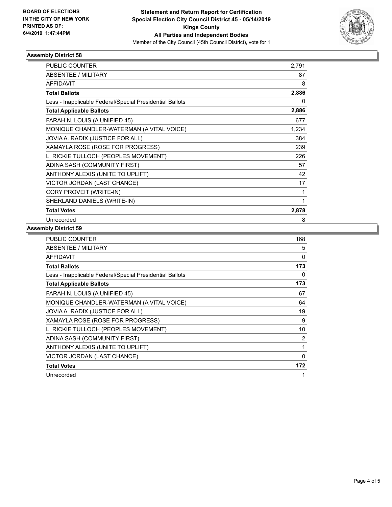

## **Assembly District 58**

| <b>PUBLIC COUNTER</b>                                    | 2,791 |
|----------------------------------------------------------|-------|
| ABSENTEE / MILITARY                                      | 87    |
| <b>AFFIDAVIT</b>                                         | 8     |
| <b>Total Ballots</b>                                     | 2,886 |
| Less - Inapplicable Federal/Special Presidential Ballots | 0     |
| <b>Total Applicable Ballots</b>                          | 2,886 |
| FARAH N. LOUIS (A UNIFIED 45)                            | 677   |
| MONIQUE CHANDLER-WATERMAN (A VITAL VOICE)                | 1,234 |
| JOVIA A. RADIX (JUSTICE FOR ALL)                         | 384   |
| XAMAYLA ROSE (ROSE FOR PROGRESS)                         | 239   |
| L. RICKIE TULLOCH (PEOPLES MOVEMENT)                     | 226   |
| ADINA SASH (COMMUNITY FIRST)                             | 57    |
| ANTHONY ALEXIS (UNITE TO UPLIFT)                         | 42    |
| VICTOR JORDAN (LAST CHANCE)                              | 17    |
| CORY PROVEIT (WRITE-IN)                                  | 1     |
| SHERLAND DANIELS (WRITE-IN)                              | 1     |
| <b>Total Votes</b>                                       | 2,878 |
| Unrecorded                                               | 8     |

## **Assembly District 59**

| <b>PUBLIC COUNTER</b>                                    | 168            |
|----------------------------------------------------------|----------------|
| ABSENTEE / MILITARY                                      | 5              |
| <b>AFFIDAVIT</b>                                         | 0              |
| <b>Total Ballots</b>                                     | 173            |
| Less - Inapplicable Federal/Special Presidential Ballots | 0              |
| <b>Total Applicable Ballots</b>                          | 173            |
| FARAH N. LOUIS (A UNIFIED 45)                            | 67             |
| MONIQUE CHANDLER-WATERMAN (A VITAL VOICE)                | 64             |
| JOVIA A. RADIX (JUSTICE FOR ALL)                         | 19             |
| XAMAYLA ROSE (ROSE FOR PROGRESS)                         | 9              |
| L. RICKIE TULLOCH (PEOPLES MOVEMENT)                     | 10             |
| ADINA SASH (COMMUNITY FIRST)                             | $\overline{2}$ |
| ANTHONY ALEXIS (UNITE TO UPLIFT)                         | 1              |
| VICTOR JORDAN (LAST CHANCE)                              | 0              |
| <b>Total Votes</b>                                       | 172            |
| Unrecorded                                               |                |